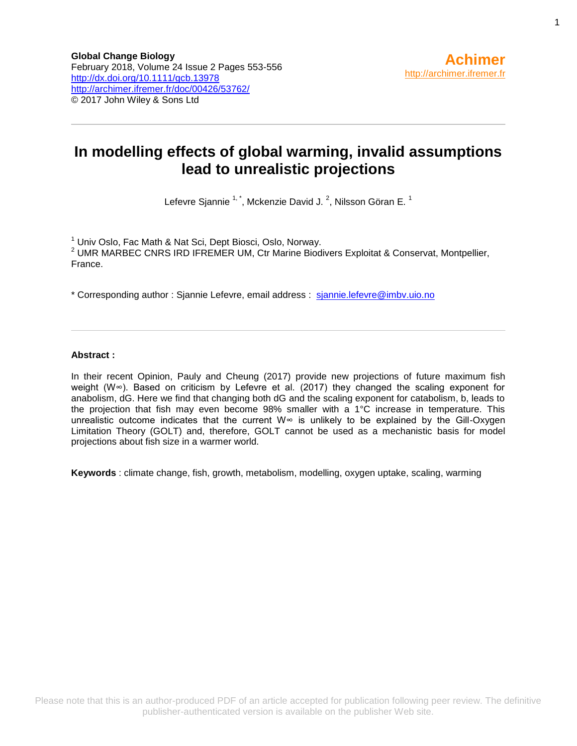## **In modelling effects of global warming, invalid assumptions lead to unrealistic projections**

Lefevre Sjannie  $1, 1$ , Mckenzie David J.  $^2$ , Nilsson Göran E.  $^1$ 

<sup>1</sup> Univ Oslo, Fac Math & Nat Sci, Dept Biosci, Oslo, Norway.  $2$  UMR MARBEC CNRS IRD IFREMER UM, Ctr Marine Biodivers Exploitat & Conservat, Montpellier, France.

\* Corresponding author : Sjannie Lefevre, email address : [sjannie.lefevre@imbv.uio.no](file:///C:/birt/First_Page_Generation/Exports/sjannie.lefevre@imbv.uio.no)

#### **Abstract :**

In their recent Opinion, Pauly and Cheung (2017) provide new projections of future maximum fish weight (W∞). Based on criticism by Lefevre et al. (2017) they changed the scaling exponent for anabolism, dG. Here we find that changing both dG and the scaling exponent for catabolism, b, leads to the projection that fish may even become 98% smaller with a 1°C increase in temperature. This unrealistic outcome indicates that the current W∞ is unlikely to be explained by the Gill-Oxygen Limitation Theory (GOLT) and, therefore, GOLT cannot be used as a mechanistic basis for model projections about fish size in a warmer world.

**Keywords** : climate change, fish, growth, metabolism, modelling, oxygen uptake, scaling, warming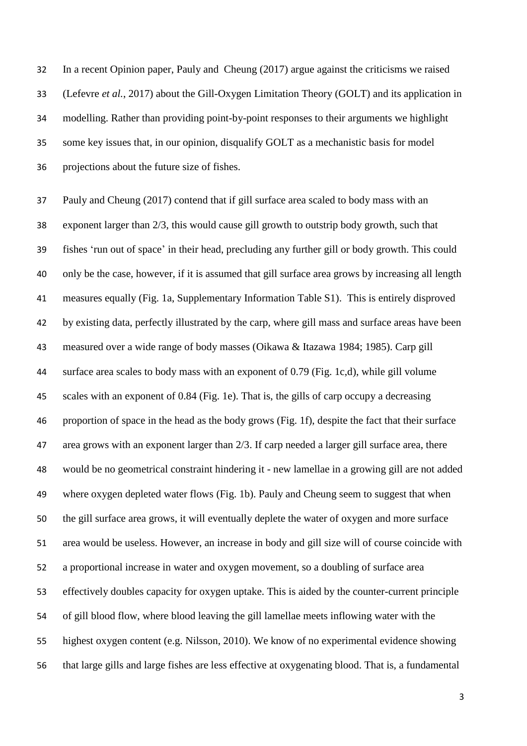In a recent Opinion paper, Pauly and Cheung (2017) argue against the criticisms we raised (Lefevre *et al.*, 2017) about the Gill-Oxygen Limitation Theory (GOLT) and its application in modelling. Rather than providing point-by-point responses to their arguments we highlight some key issues that, in our opinion, disqualify GOLT as a mechanistic basis for model projections about the future size of fishes.

 Pauly and Cheung (2017) contend that if gill surface area scaled to body mass with an exponent larger than 2/3, this would cause gill growth to outstrip body growth, such that fishes 'run out of space' in their head, precluding any further gill or body growth. This could only be the case, however, if it is assumed that gill surface area grows by increasing all length measures equally (Fig. 1a, Supplementary Information Table S1). This is entirely disproved by existing data, perfectly illustrated by the carp, where gill mass and surface areas have been measured over a wide range of body masses (Oikawa & Itazawa 1984; 1985). Carp gill surface area scales to body mass with an exponent of 0.79 (Fig. 1c,d), while gill volume scales with an exponent of 0.84 (Fig. 1e). That is, the gills of carp occupy a decreasing proportion of space in the head as the body grows (Fig. 1f), despite the fact that their surface area grows with an exponent larger than 2/3. If carp needed a larger gill surface area, there would be no geometrical constraint hindering it - new lamellae in a growing gill are not added where oxygen depleted water flows (Fig. 1b). Pauly and Cheung seem to suggest that when the gill surface area grows, it will eventually deplete the water of oxygen and more surface area would be useless. However, an increase in body and gill size will of course coincide with a proportional increase in water and oxygen movement, so a doubling of surface area effectively doubles capacity for oxygen uptake. This is aided by the counter-current principle of gill blood flow, where blood leaving the gill lamellae meets inflowing water with the highest oxygen content (e.g. Nilsson, 2010). We know of no experimental evidence showing that large gills and large fishes are less effective at oxygenating blood. That is, a fundamental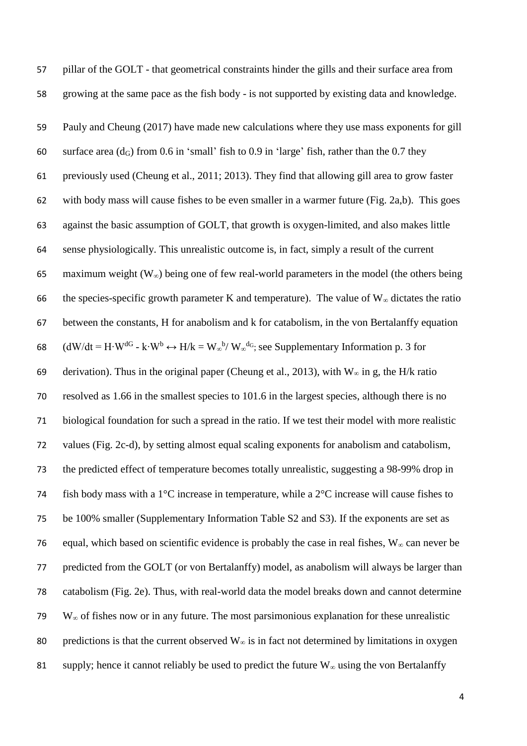pillar of the GOLT - that geometrical constraints hinder the gills and their surface area from growing at the same pace as the fish body - is not supported by existing data and knowledge. Pauly and Cheung (2017) have made new calculations where they use mass exponents for gill 60 surface area  $(d_G)$  from 0.6 in 'small' fish to 0.9 in 'large' fish, rather than the 0.7 they previously used (Cheung et al., 2011; 2013). They find that allowing gill area to grow faster with body mass will cause fishes to be even smaller in a warmer future (Fig. 2a,b). This goes against the basic assumption of GOLT, that growth is oxygen-limited, and also makes little sense physiologically. This unrealistic outcome is, in fact, simply a result of the current maximum weight (W∞) being one of few real-world parameters in the model (the others being 66 the species-specific growth parameter K and temperature). The value of  $W_{\infty}$  dictates the ratio between the constants, H for anabolism and k for catabolism, in the von Bertalanffy equation 68 (dW/dt = H⋅W<sup>dG</sup> - k⋅W<sup>b</sup> ↔ H/k = W<sub>∞</sub><sup>b</sup>/ W<sub>∞</sub><sup>dG</sup>; see Supplementary Information p. 3 for 69 derivation). Thus in the original paper (Cheung et al., 2013), with  $W_{\infty}$  in g, the H/k ratio resolved as 1.66 in the smallest species to 101.6 in the largest species, although there is no biological foundation for such a spread in the ratio. If we test their model with more realistic values (Fig. 2c-d), by setting almost equal scaling exponents for anabolism and catabolism, the predicted effect of temperature becomes totally unrealistic, suggesting a 98-99% drop in 74 fish body mass with a 1 $\degree$ C increase in temperature, while a  $2\degree$ C increase will cause fishes to be 100% smaller (Supplementary Information Table S2 and S3). If the exponents are set as 76 equal, which based on scientific evidence is probably the case in real fishes,  $W_{\infty}$  can never be predicted from the GOLT (or von Bertalanffy) model, as anabolism will always be larger than catabolism (Fig. 2e). Thus, with real-world data the model breaks down and cannot determine W<sup>∞</sup> of fishes now or in any future. The most parsimonious explanation for these unrealistic 80 predictions is that the current observed  $W_{\infty}$  is in fact not determined by limitations in oxygen 81 supply; hence it cannot reliably be used to predict the future  $W_\infty$  using the von Bertalanffy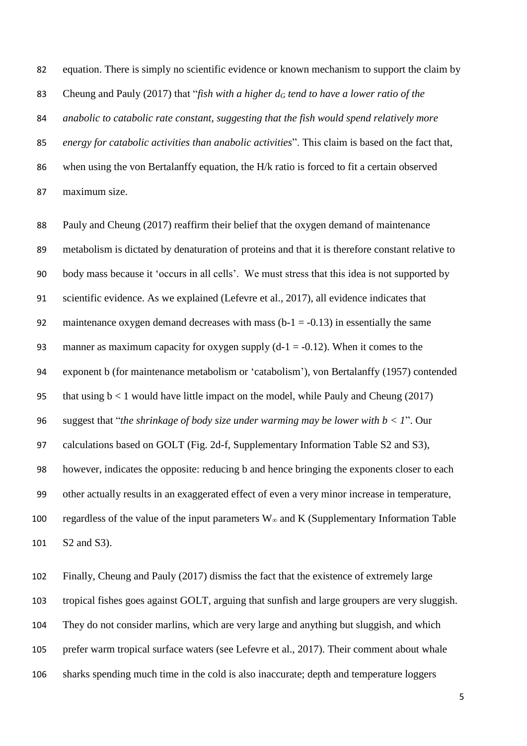equation. There is simply no scientific evidence or known mechanism to support the claim by Cheung and Pauly (2017) that "*fish with a higher d<sup>G</sup> tend to have a lower ratio of the anabolic to catabolic rate constant, suggesting that the fish would spend relatively more energy for catabolic activities than anabolic activities*". This claim is based on the fact that, when using the von Bertalanffy equation, the H/k ratio is forced to fit a certain observed maximum size.

 Pauly and Cheung (2017) reaffirm their belief that the oxygen demand of maintenance metabolism is dictated by denaturation of proteins and that it is therefore constant relative to body mass because it 'occurs in all cells'. We must stress that this idea is not supported by scientific evidence. As we explained (Lefevre et al., 2017), all evidence indicates that 92 maintenance oxygen demand decreases with mass  $(b-1 = -0.13)$  in essentially the same 93 manner as maximum capacity for oxygen supply  $(d-1 = -0.12)$ . When it comes to the exponent b (for maintenance metabolism or 'catabolism'), von Bertalanffy (1957) contended 95 that using  $b < 1$  would have little impact on the model, while Pauly and Cheung (2017) suggest that "*the shrinkage of body size under warming may be lower with b < 1*". Our calculations based on GOLT (Fig. 2d-f, Supplementary Information Table S2 and S3), however, indicates the opposite: reducing b and hence bringing the exponents closer to each other actually results in an exaggerated effect of even a very minor increase in temperature, 100 regardless of the value of the input parameters  $W_{\infty}$  and K (Supplementary Information Table S2 and S3).

 Finally, Cheung and Pauly (2017) dismiss the fact that the existence of extremely large tropical fishes goes against GOLT, arguing that sunfish and large groupers are very sluggish. They do not consider marlins, which are very large and anything but sluggish, and which prefer warm tropical surface waters (see Lefevre et al., 2017). Their comment about whale sharks spending much time in the cold is also inaccurate; depth and temperature loggers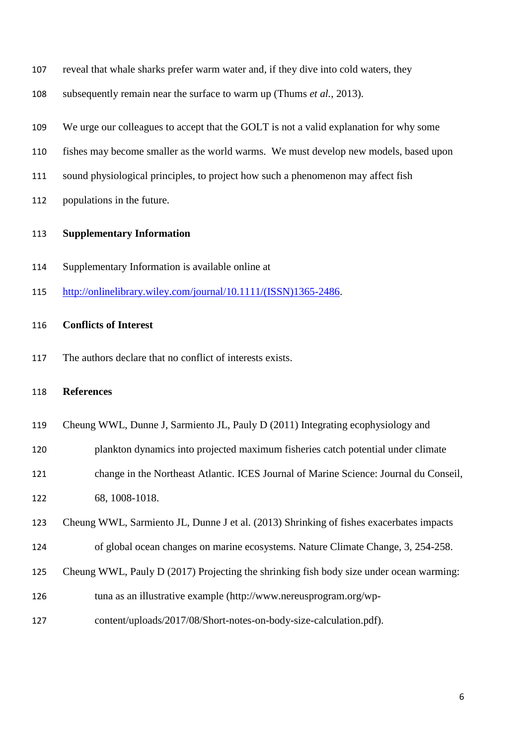- subsequently remain near the surface to warm up (Thums *et al.*, 2013).
- We urge our colleagues to accept that the GOLT is not a valid explanation for why some
- fishes may become smaller as the world warms. We must develop new models, based upon
- sound physiological principles, to project how such a phenomenon may affect fish
- populations in the future.

#### **Supplementary Information**

- Supplementary Information is available online at
- [http://onlinelibrary.wiley.com/journal/10.1111/\(ISSN\)1365-2486.](http://onlinelibrary.wiley.com/journal/10.1111/(ISSN)1365-2486)

### **Conflicts of Interest**

The authors declare that no conflict of interests exists.

#### **References**

- Cheung WWL, Dunne J, Sarmiento JL, Pauly D (2011) Integrating ecophysiology and
- plankton dynamics into projected maximum fisheries catch potential under climate
- change in the Northeast Atlantic. ICES Journal of Marine Science: Journal du Conseil, 68, 1008-1018.
- Cheung WWL, Sarmiento JL, Dunne J et al. (2013) Shrinking of fishes exacerbates impacts
- of global ocean changes on marine ecosystems. Nature Climate Change, 3, 254-258.
- Cheung WWL, Pauly D (2017) Projecting the shrinking fish body size under ocean warming:
- tuna as an illustrative example (http://www.nereusprogram.org/wp-
- content/uploads/2017/08/Short-notes-on-body-size-calculation.pdf).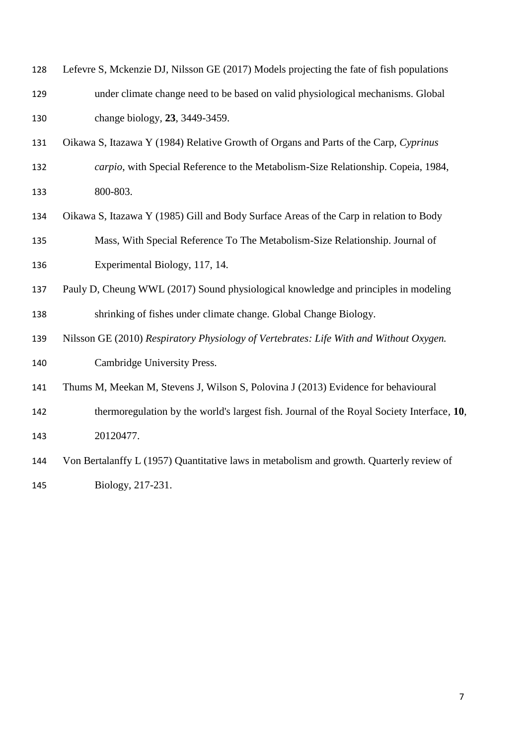| 128 | Lefevre S, Mckenzie DJ, Nilsson GE (2017) Models projecting the fate of fish populations  |
|-----|-------------------------------------------------------------------------------------------|
| 129 | under climate change need to be based on valid physiological mechanisms. Global           |
| 130 | change biology, 23, 3449-3459.                                                            |
| 131 | Oikawa S, Itazawa Y (1984) Relative Growth of Organs and Parts of the Carp, Cyprinus      |
| 132 | carpio, with Special Reference to the Metabolism-Size Relationship. Copeia, 1984,         |
| 133 | 800-803.                                                                                  |
| 134 | Oikawa S, Itazawa Y (1985) Gill and Body Surface Areas of the Carp in relation to Body    |
| 135 | Mass, With Special Reference To The Metabolism-Size Relationship. Journal of              |
| 136 | Experimental Biology, 117, 14.                                                            |
| 137 | Pauly D, Cheung WWL (2017) Sound physiological knowledge and principles in modeling       |
| 138 | shrinking of fishes under climate change. Global Change Biology.                          |
| 139 | Nilsson GE (2010) Respiratory Physiology of Vertebrates: Life With and Without Oxygen.    |
| 140 | Cambridge University Press.                                                               |
| 141 | Thums M, Meekan M, Stevens J, Wilson S, Polovina J (2013) Evidence for behavioural        |
| 142 | thermoregulation by the world's largest fish. Journal of the Royal Society Interface, 10, |
| 143 | 20120477.                                                                                 |
| 144 | Von Bertalanffy L (1957) Quantitative laws in metabolism and growth. Quarterly review of  |
| 145 | Biology, 217-231.                                                                         |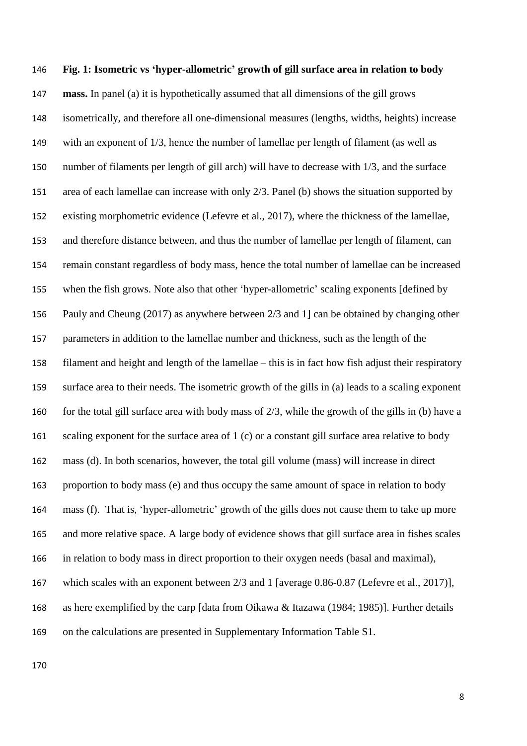# **Fig. 1: Isometric vs 'hyper-allometric' growth of gill surface area in relation to body mass.** In panel (a) it is hypothetically assumed that all dimensions of the gill grows isometrically, and therefore all one-dimensional measures (lengths, widths, heights) increase with an exponent of 1/3, hence the number of lamellae per length of filament (as well as number of filaments per length of gill arch) will have to decrease with 1/3, and the surface area of each lamellae can increase with only 2/3. Panel (b) shows the situation supported by existing morphometric evidence (Lefevre et al., 2017), where the thickness of the lamellae, and therefore distance between, and thus the number of lamellae per length of filament, can remain constant regardless of body mass, hence the total number of lamellae can be increased when the fish grows. Note also that other 'hyper-allometric' scaling exponents [defined by Pauly and Cheung (2017) as anywhere between 2/3 and 1] can be obtained by changing other parameters in addition to the lamellae number and thickness, such as the length of the filament and height and length of the lamellae – this is in fact how fish adjust their respiratory surface area to their needs. The isometric growth of the gills in (a) leads to a scaling exponent for the total gill surface area with body mass of 2/3, while the growth of the gills in (b) have a 161 scaling exponent for the surface area of 1 (c) or a constant gill surface area relative to body mass (d). In both scenarios, however, the total gill volume (mass) will increase in direct proportion to body mass (e) and thus occupy the same amount of space in relation to body mass (f). That is, 'hyper-allometric' growth of the gills does not cause them to take up more and more relative space. A large body of evidence shows that gill surface area in fishes scales in relation to body mass in direct proportion to their oxygen needs (basal and maximal), which scales with an exponent between 2/3 and 1 [average 0.86-0.87 (Lefevre et al., 2017)], as here exemplified by the carp [data from Oikawa & Itazawa (1984; 1985)]. Further details on the calculations are presented in Supplementary Information Table S1.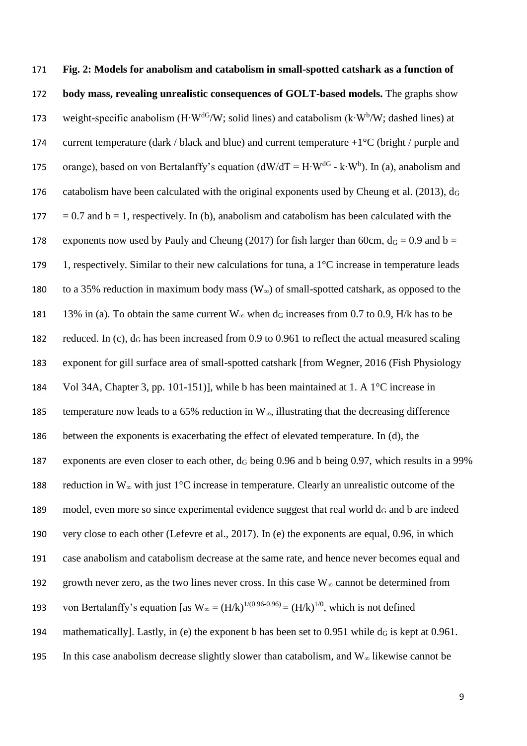171 **Fig. 2: Models for anabolism and catabolism in small-spotted catshark as a function of**  172 **body mass, revealing unrealistic consequences of GOLT-based models.** The graphs show 173 weight-specific anabolism (H⋅W<sup>dG</sup>/W; solid lines) and catabolism (k⋅W<sup>b</sup>/W; dashed lines) at 174 current temperature (dark / black and blue) and current temperature  $+1^{\circ}C$  (bright / purple and orange), based on von Bertalanffy's equation (dW/dT = H⋅W<sup>dG</sup> - k⋅W<sup>b</sup>). In (a), anabolism and 176 catabolism have been calculated with the original exponents used by Cheung et al. (2013),  $d_G$ 177 = 0.7 and  $b = 1$ , respectively. In (b), anabolism and catabolism has been calculated with the 178 exponents now used by Pauly and Cheung (2017) for fish larger than 60cm,  $d<sub>G</sub> = 0.9$  and  $b =$ 179 1, respectively. Similar to their new calculations for tuna, a  $1^{\circ}$ C increase in temperature leads 180 to a 35% reduction in maximum body mass  $(W_{\infty})$  of small-spotted catshark, as opposed to the 181 13% in (a). To obtain the same current  $W_\infty$  when  $d_G$  increases from 0.7 to 0.9, H/k has to be 182 reduced. In (c),  $d_G$  has been increased from 0.9 to 0.961 to reflect the actual measured scaling 183 exponent for gill surface area of small-spotted catshark [from Wegner, 2016 (Fish Physiology 184 Vol 34A, Chapter 3, pp. 101-151)], while b has been maintained at 1. A 1°C increase in 185 temperature now leads to a 65% reduction in  $W_{\infty}$ , illustrating that the decreasing difference 186 between the exponents is exacerbating the effect of elevated temperature. In (d), the 187 exponents are even closer to each other,  $d_G$  being 0.96 and b being 0.97, which results in a 99% 188 reduction in W<sup>∞</sup> with just 1°C increase in temperature. Clearly an unrealistic outcome of the 189 model, even more so since experimental evidence suggest that real world  $d_G$  and b are indeed 190 very close to each other (Lefevre et al., 2017). In (e) the exponents are equal, 0.96, in which 191 case anabolism and catabolism decrease at the same rate, and hence never becomes equal and 192 growth never zero, as the two lines never cross. In this case  $W_\infty$  cannot be determined from 193 von Bertalanffy's equation [as  $W_\infty = (H/k)^{1/(0.96-0.96)} = (H/k)^{1/0}$ , which is not defined 194 mathematically]. Lastly, in (e) the exponent b has been set to  $0.951$  while  $d_G$  is kept at  $0.961$ . 195 In this case anabolism decrease slightly slower than catabolism, and  $W_\infty$  likewise cannot be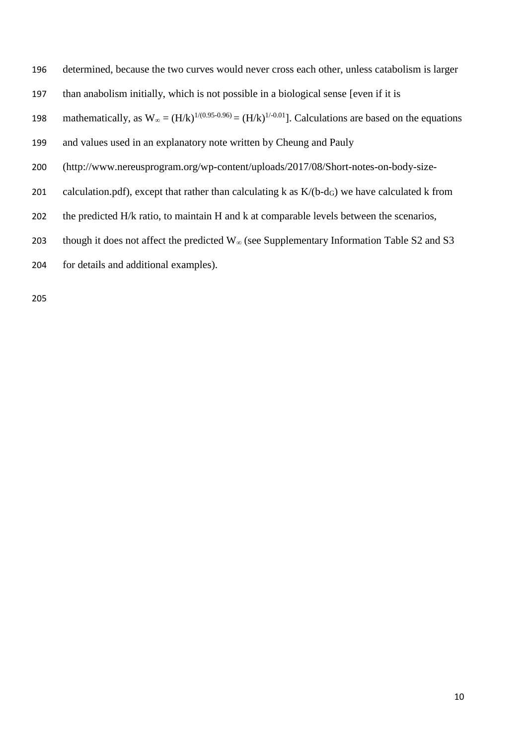determined, because the two curves would never cross each other, unless catabolism is larger

than anabolism initially, which is not possible in a biological sense [even if it is

198 mathematically, as  $W_\infty = (H/k)^{1/(0.95-0.96)} = (H/k)^{1/(0.01)}$ . Calculations are based on the equations

- and values used in an explanatory note written by Cheung and Pauly
- (http://www.nereusprogram.org/wp-content/uploads/2017/08/Short-notes-on-body-size-
- 201 calculation.pdf), except that rather than calculating k as  $K/(b-d<sub>G</sub>)$  we have calculated k from
- 202 the predicted H/k ratio, to maintain H and k at comparable levels between the scenarios,
- 203 though it does not affect the predicted  $W_\infty$  (see Supplementary Information Table S2 and S3
- for details and additional examples).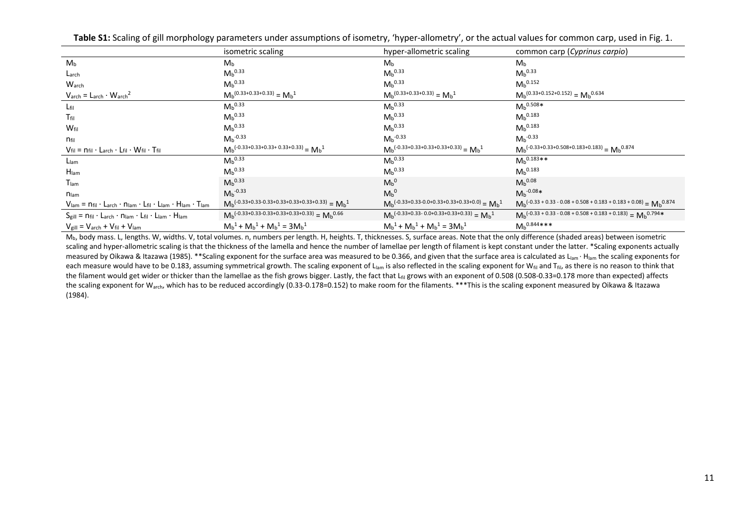|                                                                                                                                                                                  | isometric scaling                                                    | hyper-allometric scaling                                              | common carp (Cyprinus carpio)                                                                |
|----------------------------------------------------------------------------------------------------------------------------------------------------------------------------------|----------------------------------------------------------------------|-----------------------------------------------------------------------|----------------------------------------------------------------------------------------------|
| M <sub>b</sub>                                                                                                                                                                   | M <sub>b</sub>                                                       | M <sub>b</sub>                                                        | M <sub>b</sub>                                                                               |
| Larch                                                                                                                                                                            | $M_b^{0.33}$                                                         | $M_b^{0.33}$                                                          | $M_b^{0.33}$                                                                                 |
| Warch                                                                                                                                                                            | M <sub>b</sub> 0.33                                                  | $M_b^{0.33}$                                                          | $M_b$ <sup>0.152</sup>                                                                       |
| $Varch = Larch · Warch2$                                                                                                                                                         | $M_b^{(0.33+0.33+0.33)} = M_b^1$                                     | $M_b^{(0.33+0.33+0.33)} = M_b^{1}$                                    | $Mb(0.33+0.152+0.152) = Mb0.634$                                                             |
| $L_{\text{fil}}$                                                                                                                                                                 | $Mh^{0.33}$                                                          | $Mh^{0.33}$                                                           | $Mh^{0.508*}$                                                                                |
| $T_{\text{fil}}$                                                                                                                                                                 | M <sub>b</sub> 0.33                                                  | $M_b^{0.33}$                                                          | $M_b$ <sup>0.183</sup>                                                                       |
| W <sub>fil</sub>                                                                                                                                                                 | $M_b^{0.33}$                                                         | $M_b^{0.33}$                                                          | $M_b$ <sup>0.183</sup>                                                                       |
| $n_{\text{fil}}$                                                                                                                                                                 | $M_b^{-0.33}$                                                        | $M_h^{-0.33}$                                                         | $M_h^{-0.33}$                                                                                |
| $V_{fil} = n_{fil} \cdot L_{arch} \cdot L_{fil} \cdot W_{fil} \cdot T_{fil}$                                                                                                     | $M_b^{(-0.33+0.33+0.33+0.33+0.33)} = M_b^{1}$                        | $M_b^{(-0.33+0.33+0.33+0.33+0.33)} = M_b^1$                           | $M_b^{(-0.33+0.33+0.508+0.183+0.183)} = M_b^{0.874}$                                         |
| L <sub>lam</sub>                                                                                                                                                                 | $M_b^{0.33}$                                                         | $M_b^{0.33}$                                                          | ${M_b}^{0.183**}$                                                                            |
| $H_{lam}$                                                                                                                                                                        | M <sub>b</sub> 0.33                                                  | $M_b^{0.33}$                                                          | M <sub>b</sub> 0.183                                                                         |
| T <sub>lam</sub>                                                                                                                                                                 | M <sub>b</sub> 0.33                                                  | $M_b{}^0$                                                             | M <sub>b</sub> 0.08                                                                          |
| <b>N</b> lam                                                                                                                                                                     | $M_b^{-0.33}$                                                        | $M_b{}^0$                                                             | $M_b^{-0.08*}$                                                                               |
| $V_{\mathsf{lam}} = n_{\mathsf{fil}} \cdot L_{\mathsf{arch}} \cdot n_{\mathsf{lam}} \cdot L_{\mathsf{fil}} \cdot L_{\mathsf{lam}} \cdot H_{\mathsf{lam}} \cdot T_{\mathsf{lam}}$ | $Mb$ <sup>(-0.33+0.33-0.33+0.33+0.33+0.33)</sup> = $Mb$ <sup>1</sup> | $M_h^{(-0.33+0.33-0.0+0.33+0.33+0.33+0.0)} = M_h^{1}$                 | $Mb$ <sup>(-0.33 + 0.33 - 0.08 + 0.508 + 0.183 + 0.183 + 0.08)</sup> = $Mb$ <sup>0.874</sup> |
| $S_{\text{gill}} = n_{\text{fil}} \cdot L_{\text{arch}} \cdot n_{\text{lam}} \cdot L_{\text{fil}} \cdot L_{\text{lam}} \cdot H_{\text{lam}}$                                     | $Mb$ <sup>(-0.33+0.33-0.33+0.33+0.33)</sup> = $Mb$ <sup>0.66</sup>   | $M_b$ <sup>(-0.33+0.33-0.0+0.33+0.33+0.33)</sup> = $M_b$ <sup>1</sup> | $M_h^{(-0.33 + 0.33 - 0.08 + 0.508 + 0.183 + 0.183)} = M_h^{0.794*}$                         |
| $V_{\text{gill}} = V_{\text{arch}} + V_{\text{fil}} + V_{\text{lam}}$                                                                                                            | $M_b^1 + M_b^1 + M_b^1 = 3M_b^1$                                     | $M_b^1 + M_b^1 + M_b^1 = 3M_b^1$                                      | $M_b$ <sup>0.844</sup> ***                                                                   |

Table S1: Scaling of gill morphology parameters under assumptions of isometry, 'hyper-allometry', or the actual values for common carp, used in Fig. 1.

M<sub>b</sub>, body mass. L, lengths. W, widths. V, total volumes. n, numbers per length. H, heights. T, thicknesses. S, surface areas. Note that the only difference (shaded areas) between isometric scaling and hyper-allometric scaling is that the thickness of the lamella and hence the number of lamellae per length of filament is kept constant under the latter. \*Scaling exponents actually measured by Oikawa & Itazawa (1985). \*\*Scaling exponent for the surface area was measured to be 0.366, and given that the surface area is calculated as L<sub>lam</sub> ⋅ H<sub>lam</sub> the scaling exponents for each measure would have to be 0.183, assuming symmetrical growth. The scaling exponent of L<sub>lam</sub> is also reflected in the scaling exponent for W<sub>fil</sub> and T<sub>fil</sub>, as there is no reason to think that the filament would get wider or thicker than the lamellae as the fish grows bigger. Lastly, the fact that L<sub>fil</sub> grows with an exponent of 0.508 (0.508-0.33=0.178 more than expected) affects the scaling exponent for W<sub>arch</sub>, which has to be reduced accordingly (0.33-0.178=0.152) to make room for the filaments. \*\*\*This is the scaling exponent measured by Oikawa & Itazawa (1984).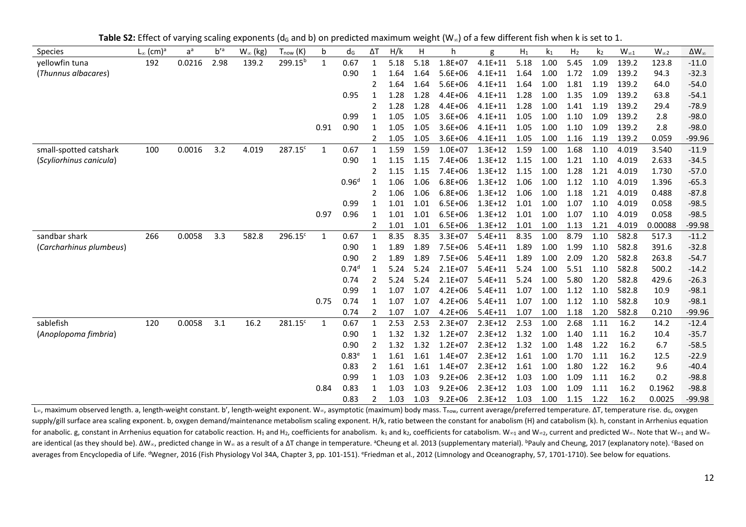Table S2: Effect of varying scaling exponents (d<sub>G</sub> and b) on predicted maximum weight (W<sub>∞</sub>) of a few different fish when k is set to 1.

| <b>Species</b>          | $L_{\infty}$ (cm) <sup>a</sup> | $a^a$  | $b^{\prime a}$ | $W_{\infty}$ (kg) | $T_{now}$ (K)       | b    | dG                | ΔΤ           | H/k  | н    | h           | g           | $H_1$ | k1   | H <sub>2</sub> | k <sub>2</sub> | $W_{\infty 1}$ | $W_{\infty 2}$ | $\Delta W_{\infty}$ |
|-------------------------|--------------------------------|--------|----------------|-------------------|---------------------|------|-------------------|--------------|------|------|-------------|-------------|-------|------|----------------|----------------|----------------|----------------|---------------------|
| vellowfin tuna          | 192                            | 0.0216 | 2.98           | 139.2             | 299.15 <sup>b</sup> | 1    | 0.67              | 1            | 5.18 | 5.18 | $1.8E + 07$ | $4.1E + 11$ | 5.18  | 1.00 | 5.45           | 1.09           | 139.2          | 123.8          | $-11.0$             |
| (Thunnus albacares)     |                                |        |                |                   |                     |      | 0.90              | -1           | 1.64 | 1.64 | $5.6E + 06$ | $4.1E + 11$ | 1.64  | 1.00 | 1.72           | 1.09           | 139.2          | 94.3           | $-32.3$             |
|                         |                                |        |                |                   |                     |      |                   | 2            | 1.64 | 1.64 | $5.6E + 06$ | $4.1E + 11$ | 1.64  | 1.00 | 1.81           | 1.19           | 139.2          | 64.0           | $-54.0$             |
|                         |                                |        |                |                   |                     |      | 0.95              | 1            | 1.28 | 1.28 | $4.4E + 06$ | $4.1E + 11$ | 1.28  | 1.00 | 1.35           | 1.09           | 139.2          | 63.8           | $-54.1$             |
|                         |                                |        |                |                   |                     |      |                   |              | 1.28 | 1.28 | $4.4E + 06$ | $4.1E + 11$ | 1.28  | 1.00 | 1.41           | 1.19           | 139.2          | 29.4           | $-78.9$             |
|                         |                                |        |                |                   |                     |      | 0.99              |              | 1.05 | 1.05 | $3.6E + 06$ | $4.1E + 11$ | 1.05  | 1.00 | 1.10           | 1.09           | 139.2          | 2.8            | $-98.0$             |
|                         |                                |        |                |                   |                     | 0.91 | 0.90              |              | 1.05 | 1.05 | $3.6E + 06$ | $4.1E + 11$ | 1.05  | 1.00 | 1.10           | 1.09           | 139.2          | 2.8            | $-98.0$             |
|                         |                                |        |                |                   |                     |      |                   | 2            | 1.05 | 1.05 | $3.6E + 06$ | $4.1E+11$   | 1.05  | 1.00 | 1.16           | 1.19           | 139.2          | 0.059          | $-99.96$            |
| small-spotted catshark  | 100                            | 0.0016 | 3.2            | 4.019             | 287.15 <sup>c</sup> | 1    | 0.67              | -1           | 1.59 | 1.59 | $1.0E + 07$ | $1.3E + 12$ | 1.59  | 1.00 | 1.68           | 1.10           | 4.019          | 3.540          | $-11.9$             |
| (Scyliorhinus canicula) |                                |        |                |                   |                     |      | 0.90              | 1            | 1.15 | 1.15 | 7.4E+06     | $1.3E + 12$ | 1.15  | 1.00 | 1.21           | 1.10           | 4.019          | 2.633          | $-34.5$             |
|                         |                                |        |                |                   |                     |      |                   | 2            | 1.15 | 1.15 | $7.4E + 06$ | $1.3E+12$   | 1.15  | 1.00 | 1.28           | 1.21           | 4.019          | 1.730          | $-57.0$             |
|                         |                                |        |                |                   |                     |      | 0.96 <sup>d</sup> | -1           | 1.06 | 1.06 | $6.8E + 06$ | $1.3E+12$   | 1.06  | 1.00 | 1.12           | 1.10           | 4.019          | 1.396          | $-65.3$             |
|                         |                                |        |                |                   |                     |      |                   |              | 1.06 | 1.06 | $6.8E + 06$ | $1.3E+12$   | 1.06  | 1.00 | 1.18           | 1.21           | 4.019          | 0.488          | $-87.8$             |
|                         |                                |        |                |                   |                     |      | 0.99              |              | 1.01 | 1.01 | $6.5E + 06$ | $1.3E + 12$ | 1.01  | 1.00 | 1.07           | 1.10           | 4.019          | 0.058          | $-98.5$             |
|                         |                                |        |                |                   |                     | 0.97 | 0.96              |              | 1.01 | 1.01 | $6.5E + 06$ | $1.3E + 12$ | 1.01  | 1.00 | 1.07           | 1.10           | 4.019          | 0.058          | $-98.5$             |
|                         |                                |        |                |                   |                     |      |                   | 2            | 1.01 | 1.01 | $6.5E + 06$ | $1.3E+12$   | 1.01  | 1.00 | 1.13           | 1.21           | 4.019          | 0.00088        | $-99.98$            |
| sandbar shark           | 266                            | 0.0058 | 3.3            | 582.8             | $296.15^c$          | 1    | 0.67              | -1           | 8.35 | 8.35 | $3.3E + 07$ | $5.4E + 11$ | 8.35  | 1.00 | 8.79           | 1.10           | 582.8          | 517.3          | $-11.2$             |
| (Carcharhinus plumbeus) |                                |        |                |                   |                     |      | 0.90              | 1            | 1.89 | 1.89 | $7.5E + 06$ | $5.4E + 11$ | 1.89  | 1.00 | 1.99           | 1.10           | 582.8          | 391.6          | $-32.8$             |
|                         |                                |        |                |                   |                     |      | 0.90              | 2            | 1.89 | 1.89 | $7.5E + 06$ | $5.4E + 11$ | 1.89  | 1.00 | 2.09           | 1.20           | 582.8          | 263.8          | $-54.7$             |
|                         |                                |        |                |                   |                     |      | $0.74^{d}$        | $\mathbf{1}$ | 5.24 | 5.24 | $2.1E+07$   | $5.4E + 11$ | 5.24  | 1.00 | 5.51           | 1.10           | 582.8          | 500.2          | $-14.2$             |
|                         |                                |        |                |                   |                     |      | 0.74              |              | 5.24 | 5.24 | $2.1E+07$   | $5.4E + 11$ | 5.24  | 1.00 | 5.80           | 1.20           | 582.8          | 429.6          | $-26.3$             |
|                         |                                |        |                |                   |                     |      | 0.99              |              | 1.07 | 1.07 | $4.2E + 06$ | $5.4E + 11$ | 1.07  | 1.00 | 1.12           | 1.10           | 582.8          | 10.9           | $-98.1$             |
|                         |                                |        |                |                   |                     | 0.75 | 0.74              |              | 1.07 | 1.07 | $4.2E + 06$ | $5.4E + 11$ | 1.07  | 1.00 | 1.12           | 1.10           | 582.8          | 10.9           | $-98.1$             |
|                         |                                |        |                |                   |                     |      | 0.74              | 2            | 1.07 | 1.07 | $4.2E + 06$ | $5.4E + 11$ | 1.07  | 1.00 | 1.18           | 1.20           | 582.8          | 0.210          | $-99.96$            |
| sablefish               | 120                            | 0.0058 | 3.1            | 16.2              | 281.15 <sup>c</sup> | 1    | 0.67              | 1            | 2.53 | 2.53 | $2.3E + 07$ | $2.3E+12$   | 2.53  | 1.00 | 2.68           | 1.11           | 16.2           | 14.2           | $-12.4$             |
| (Anoplopoma fimbria)    |                                |        |                |                   |                     |      | 0.90              | -1           | 1.32 | 1.32 | $1.2E + 07$ | $2.3E+12$   | 1.32  | 1.00 | 1.40           | 1.11           | 16.2           | 10.4           | $-35.7$             |
|                         |                                |        |                |                   |                     |      | 0.90              | 2            | 1.32 | 1.32 | $1.2E + 07$ | $2.3E+12$   | 1.32  | 1.00 | 1.48           | 1.22           | 16.2           | 6.7            | $-58.5$             |
|                         |                                |        |                |                   |                     |      | 0.83 <sup>e</sup> | 1            | 1.61 | 1.61 | $1.4E + 07$ | $2.3E+12$   | 1.61  | 1.00 | 1.70           | 1.11           | 16.2           | 12.5           | $-22.9$             |
|                         |                                |        |                |                   |                     |      | 0.83              |              | 1.61 | 1.61 | $1.4E + 07$ | $2.3E+12$   | 1.61  | 1.00 | 1.80           | 1.22           | 16.2           | 9.6            | $-40.4$             |
|                         |                                |        |                |                   |                     |      | 0.99              | 1            | 1.03 | 1.03 | $9.2E + 06$ | $2.3E+12$   | 1.03  | 1.00 | 1.09           | 1.11           | 16.2           | 0.2            | $-98.8$             |
|                         |                                |        |                |                   |                     | 0.84 | 0.83              |              | 1.03 | 1.03 | $9.2E + 06$ | $2.3E+12$   | 1.03  | 1.00 | 1.09           | 1.11           | 16.2           | 0.1962         | $-98.8$             |
|                         |                                |        |                |                   |                     |      | 0.83              | 2            | 1.03 | 1.03 | $9.2E + 06$ | $2.3E+12$   | 1.03  | 1.00 | 1.15           | 1.22           | 16.2           | 0.0025         | -99.98              |

 $L_{\infty}$ , maximum observed length. a, length-weight constant. b', length-weight exponent. W∞, asymptotic (maximum) body mass. T<sub>now</sub>, current average/preferred temperature. ΔT, temperature rise. d<sub>G</sub>, oxygen supply/gill surface area scaling exponent. b, oxygen demand/maintenance metabolism scaling exponent. H/k, ratio between the constant for anabolism (H) and catabolism (k). h, constant in Arrhenius equation for anabolic. g, constant in Arrhenius equation for catabolic reaction. H<sub>1</sub> and H<sub>2</sub>, coefficients for anabolism. k<sub>1</sub> and k<sub>2</sub>, coefficients for catabolism. K<sub>1</sub> and K<sub>2</sub>, coefficients for catabolism. W<sub>∞1</sub> and W∞<sub>2</sub>, c are identical (as they should be). ΔW∞, predicted change in W∞ as a result of a ΔT change in temperature. <sup>a</sup>Cheung et al. 2013 (supplementary material). <sup>b</sup>Pauly and Cheung, 2017 (explanatory note). <sup>c</sup>Based on averages from Encyclopedia of Life. <sup>d</sup>Wegner, 2016 (Fish Physiology Vol 34A, Chapter 3, pp. 101-151). <sup>e</sup>Friedman et al., 2012 (Limnology and Oceanography, 57, 1701-1710). See below for equations.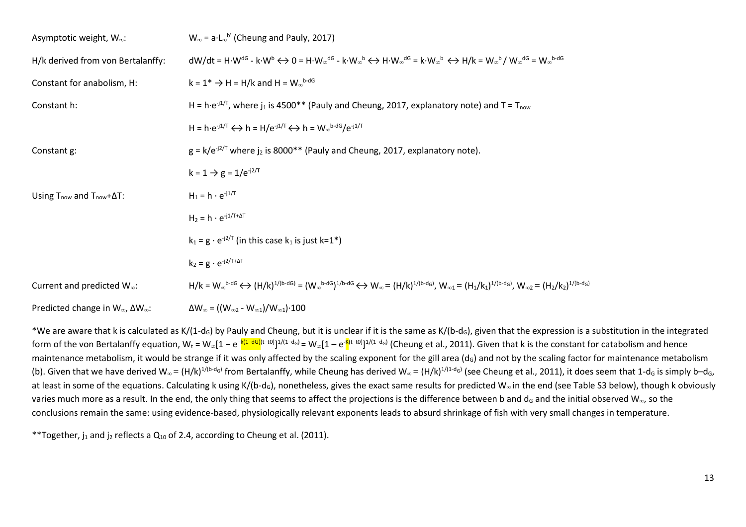| Asymptotic weight, W <sub>∞</sub> :                      | $W_{\infty}$ = a L <sub><math>\infty</math></sub> b' (Cheung and Pauly, 2017)                                                                                                                                                                             |
|----------------------------------------------------------|-----------------------------------------------------------------------------------------------------------------------------------------------------------------------------------------------------------------------------------------------------------|
| H/k derived from von Bertalanffy:                        | $dW/dt = H \cdot W^{dG} - k \cdot W^b \leftrightarrow 0 = H \cdot W_{\infty}^{dG} - k \cdot W_{\infty}^b \leftrightarrow H \cdot W_{\infty}^{dG} = k \cdot W_{\infty}^b \leftrightarrow H/k = W_{\infty}^b / W_{\infty}^{dG} = W_{\infty}^{b \text{-}dG}$ |
| Constant for anabolism, H:                               | $k = 1^* \rightarrow H = H/k$ and $H = W_{\infty}^{b \text{-dG}}$                                                                                                                                                                                         |
| Constant h:                                              | H = h·e <sup>-j1/T</sup> , where j <sub>1</sub> is 4500** (Pauly and Cheung, 2017, explanatory note) and T = T <sub>now</sub>                                                                                                                             |
|                                                          | H = h·e <sup>-j1/T</sup> $\leftrightarrow$ h = H/e <sup>-j1/T</sup> $\leftrightarrow$ h = W <sub>∞</sub> b-dG/e <sup>-j1/T</sup>                                                                                                                          |
| Constant g:                                              | $g = k/e^{-j2/T}$ where $j_2$ is 8000** (Pauly and Cheung, 2017, explanatory note).                                                                                                                                                                       |
|                                                          | $k = 1 \rightarrow g = 1/e^{-j2/T}$                                                                                                                                                                                                                       |
| Using $T_{now}$ and $T_{now} + \Delta T$ :               | $H_1 = h \cdot e^{-j1/T}$                                                                                                                                                                                                                                 |
|                                                          | $H_2 = h \cdot e^{-j1/T + \Delta T}$                                                                                                                                                                                                                      |
|                                                          | $k_1 = g \cdot e^{-j2/T}$ (in this case $k_1$ is just k=1 <sup>*</sup> )                                                                                                                                                                                  |
|                                                          | $k_2 = g \cdot e^{-j2/T+\Delta T}$                                                                                                                                                                                                                        |
| Current and predicted W <sub>∞</sub> :                   | $H/k = W_{\infty}^{b-dG} \leftrightarrow (H/k)^{1/(b-dG)} = (W_{\infty}^{b-dG})^{1/b-dG} \leftrightarrow W_{\infty} = (H/k)^{1/(b-d_G)}, W_{\infty 1} = (H_1/k_1)^{1/(b-d_G)}, W_{\infty 2} = (H_2/k_2)^{1/(b-d_G)}$                                      |
| Predicted change in $W_{\infty}$ , $\Delta W_{\infty}$ : | $\Delta W_{\infty} = ((W_{\infty 2} - W_{\infty 1})/W_{\infty 1}) \cdot 100$                                                                                                                                                                              |

\*We are aware that k is calculated as K/(1-d<sub>G</sub>) by Pauly and Cheung, but it is unclear if it is the same as K/(b-d<sub>G</sub>), given that the expression is a substitution in the integrated form of the von Bertalanffy equation, W<sub>t</sub> = W∞[1 – e<sup>-k(1–dG)</sup><sup>(t–t0)</sup>]<sup>1/(1–d</sup>s<sup>)</sup> = W∞[1 – e<sup>-k</sup><sup>(t–t0)</sup>]<sup>1/(1–d</sup>s) (Cheung et al., 2011). Given that k is the constant for catabolism and hence maintenance metabolism, it would be strange if it was only affected by the scaling exponent for the gill area (d<sub>G</sub>) and not by the scaling factor for maintenance metabolism (b). Given that we have derived W<sub>∞</sub> = (H/k)<sup>1/(b-d</sup>G) from Bertalanffy, while Cheung has derived W<sub>∞</sub> = (H/k)<sup>1/(1-d</sup>G) (see Cheung et al., 2011), it does seem that 1-d<sub>G</sub> is simply b–d<sub>G</sub>, at least in some of the equations. Calculating k using K/(b-d<sub>G</sub>), nonetheless, gives the exact same results for predicted W<sub>∞</sub> in the end (see Table S3 below), though k obviously varies much more as a result. In the end, the only thing that seems to affect the projections is the difference between b and d<sub>G</sub> and the initial observed W<sub>∞</sub>, so the conclusions remain the same: using evidence-based, physiologically relevant exponents leads to absurd shrinkage of fish with very small changes in temperature.

\*\*Together,  $i_1$  and  $i_2$  reflects a  $Q_{10}$  of 2.4, according to Cheung et al. (2011).